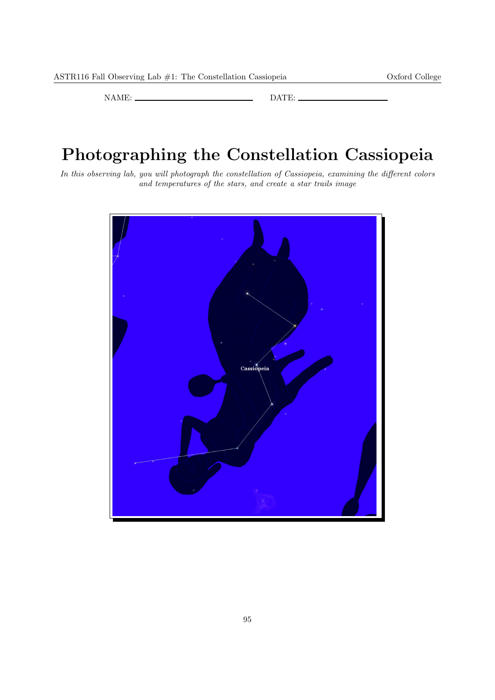NAME: DATE:

# Photographing the Constellation Cassiopeia

In this observing lab, you will photograph the constellation of Cassiopeia, examining the different colors and temperatures of the stars, and create a star trails image

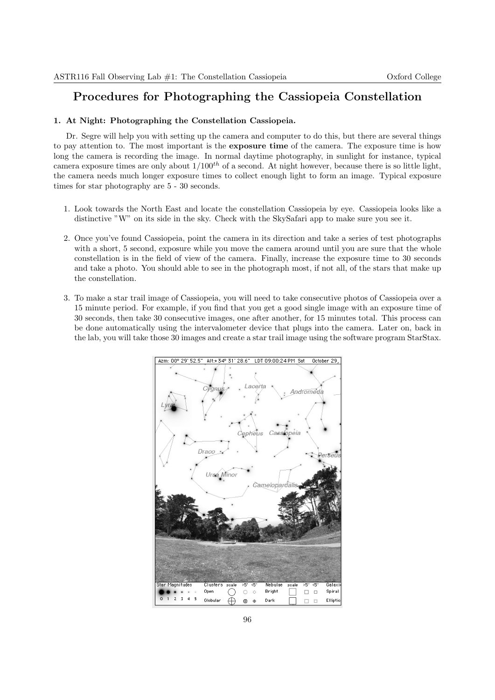## Procedures for Photographing the Cassiopeia Constellation

#### 1. At Night: Photographing the Constellation Cassiopeia.

Dr. Segre will help you with setting up the camera and computer to do this, but there are several things to pay attention to. The most important is the exposure time of the camera. The exposure time is how long the camera is recording the image. In normal daytime photography, in sunlight for instance, typical camera exposure times are only about  $1/100^{th}$  of a second. At night however, because there is so little light, the camera needs much longer exposure times to collect enough light to form an image. Typical exposure times for star photography are 5 - 30 seconds.

- 1. Look towards the North East and locate the constellation Cassiopeia by eye. Cassiopeia looks like a distinctive "W" on its side in the sky. Check with the SkySafari app to make sure you see it.
- 2. Once you've found Cassiopeia, point the camera in its direction and take a series of test photographs with a short, 5 second, exposure while you move the camera around until you are sure that the whole constellation is in the field of view of the camera. Finally, increase the exposure time to 30 seconds and take a photo. You should able to see in the photograph most, if not all, of the stars that make up the constellation.
- 3. To make a star trail image of Cassiopeia, you will need to take consecutive photos of Cassiopeia over a 15 minute period. For example, if you find that you get a good single image with an exposure time of 30 seconds, then take 30 consecutive images, one after another, for 15 minutes total. This process can be done automatically using the intervalometer device that plugs into the camera. Later on, back in the lab, you will take those 30 images and create a star trail image using the software program StarStax.

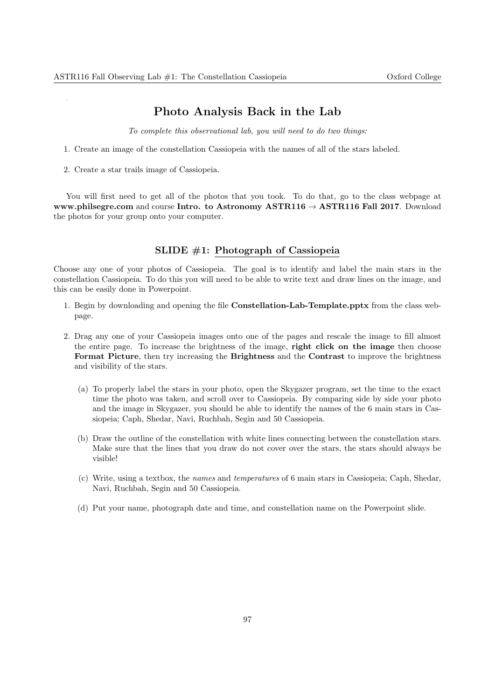## Photo Analysis Back in the Lab

To complete this observational lab, you will need to do two things:

- 1. Create an image of the constellation Cassiopeia with the names of all of the stars labeled.
- 2. Create a star trails image of Cassiopeia.

.

You will first need to get all of the photos that you took. To do that, go to the class webpage at www.philsegre.com and course Intro. to Astronomy ASTR116  $\rightarrow$  ASTR116 Fall 2017. Download the photos for your group onto your computer.

#### SLIDE #1: Photograph of Cassiopeia

Choose any one of your photos of Cassiopeia. The goal is to identify and label the main stars in the constellation Cassiopeia. To do this you will need to be able to write text and draw lines on the image, and this can be easily done in Powerpoint.

- 1. Begin by downloading and opening the file Constellation-Lab-Template.pptx from the class webpage.
- 2. Drag any one of your Cassiopeia images onto one of the pages and rescale the image to fill almost the entire page. To increase the brightness of the image, right click on the image then choose Format Picture, then try increasing the Brightness and the Contrast to improve the brightness and visibility of the stars.
	- (a) To properly label the stars in your photo, open the Skygazer program, set the time to the exact time the photo was taken, and scroll over to Cassiopeia. By comparing side by side your photo and the image in Skygazer, you should be able to identify the names of the 6 main stars in Cassiopeia; Caph, Shedar, Navi, Ruchbah, Segin and 50 Cassiopeia.
	- (b) Draw the outline of the constellation with white lines connecting between the constellation stars. Make sure that the lines that you draw do not cover over the stars, the stars should always be visible!
	- (c) Write, using a textbox, the names and temperatures of 6 main stars in Cassiopeia; Caph, Shedar, Navi, Ruchbah, Segin and 50 Cassiopeia.
	- (d) Put your name, photograph date and time, and constellation name on the Powerpoint slide.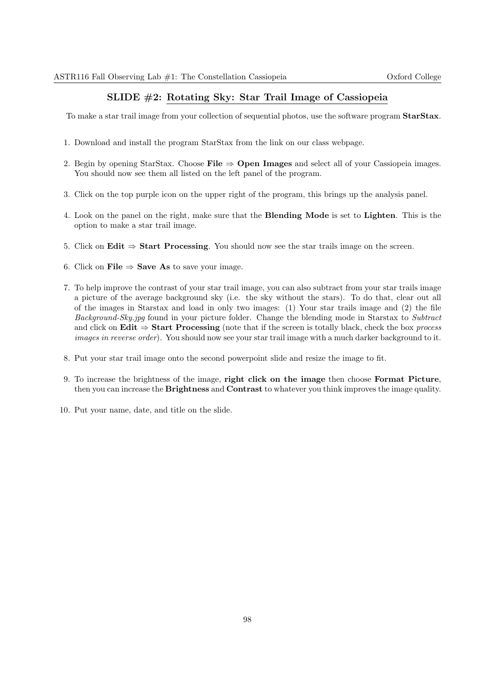## SLIDE #2: Rotating Sky: Star Trail Image of Cassiopeia

To make a star trail image from your collection of sequential photos, use the software program **StarStax**.

- 1. Download and install the program StarStax from the link on our class webpage.
- 2. Begin by opening StarStax. Choose File  $\Rightarrow$  Open Images and select all of your Cassiopeia images. You should now see them all listed on the left panel of the program.
- 3. Click on the top purple icon on the upper right of the program, this brings up the analysis panel.
- 4. Look on the panel on the right, make sure that the Blending Mode is set to Lighten. This is the option to make a star trail image.
- 5. Click on **Edit**  $\Rightarrow$  **Start Processing**. You should now see the star trails image on the screen.
- 6. Click on File  $\Rightarrow$  Save As to save your image.
- 7. To help improve the contrast of your star trail image, you can also subtract from your star trails image a picture of the average background sky (i.e. the sky without the stars). To do that, clear out all of the images in Starstax and load in only two images: (1) Your star trails image and (2) the file Background-Sky.jpg found in your picture folder. Change the blending mode in Starstax to Subtract and click on Edit  $\Rightarrow$  Start Processing (note that if the screen is totally black, check the box process images in reverse order). You should now see your star trail image with a much darker background to it.
- 8. Put your star trail image onto the second powerpoint slide and resize the image to fit.
- 9. To increase the brightness of the image, right click on the image then choose Format Picture, then you can increase the **Brightness** and **Contrast** to whatever you think improves the image quality.
- 10. Put your name, date, and title on the slide.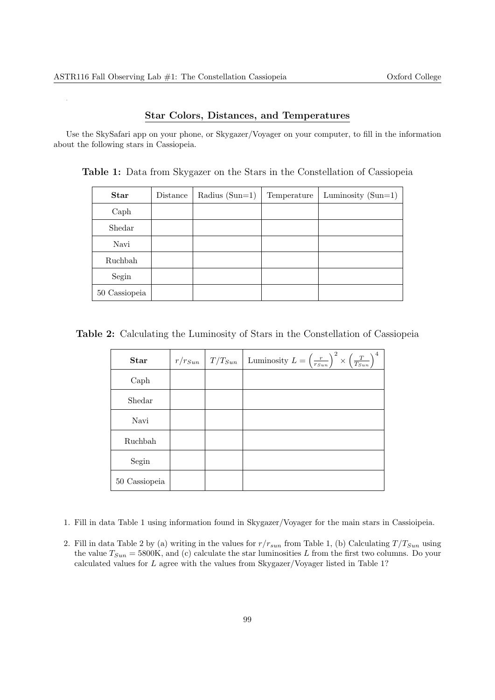.

## Star Colors, Distances, and Temperatures

Use the SkySafari app on your phone, or Skygazer/Voyager on your computer, to fill in the information about the following stars in Cassiopeia.

Star Distance Radius (Sun=1) Temperature Luminosity (Sun=1) Caph Shedar Navi Ruchbah Segin 50 Cassiopeia

Table 1: Data from Skygazer on the Stars in the Constellation of Cassiopeia

Table 2: Calculating the Luminosity of Stars in the Constellation of Cassiopeia

| <b>Star</b>   |  | $r/r_{Sun}$ $T/T_{Sun}$ Luminosity $L = \left(\frac{r}{r_{Sun}}\right)^2 \times \left(\frac{T}{T_{Sun}}\right)^4$ |
|---------------|--|-------------------------------------------------------------------------------------------------------------------|
| Caph          |  |                                                                                                                   |
| Shedar        |  |                                                                                                                   |
| Navi          |  |                                                                                                                   |
| Ruchbah       |  |                                                                                                                   |
| Segin         |  |                                                                                                                   |
| 50 Cassiopeia |  |                                                                                                                   |

- 1. Fill in data Table 1 using information found in Skygazer/Voyager for the main stars in Cassioipeia.
- 2. Fill in data Table 2 by (a) writing in the values for  $r/r_{sun}$  from Table 1, (b) Calculating  $T/T_{Sun}$  using the value  $T_{Sun} = 5800$ K, and (c) calculate the star luminosities L from the first two columns. Do your calculated values for L agree with the values from Skygazer/Voyager listed in Table 1?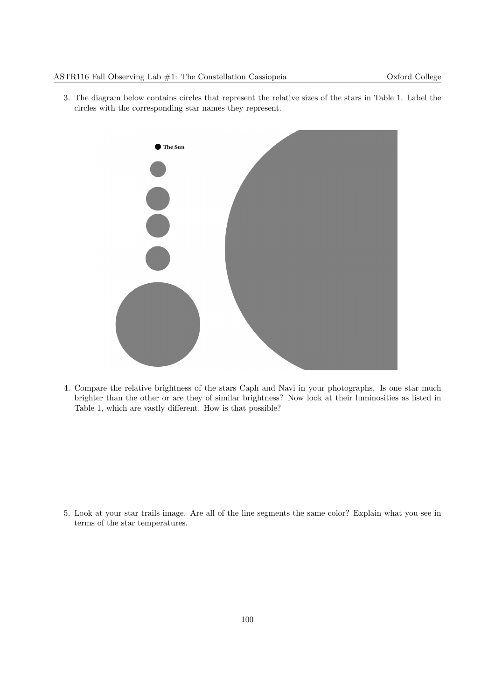3. The diagram below contains circles that represent the relative sizes of the stars in Table 1. Label the circles with the corresponding star names they represent.



4. Compare the relative brightness of the stars Caph and Navi in your photographs. Is one star much brighter than the other or are they of similar brightness? Now look at their luminosities as listed in Table 1, which are vastly different. How is that possible?

5. Look at your star trails image. Are all of the line segments the same color? Explain what you see in terms of the star temperatures.